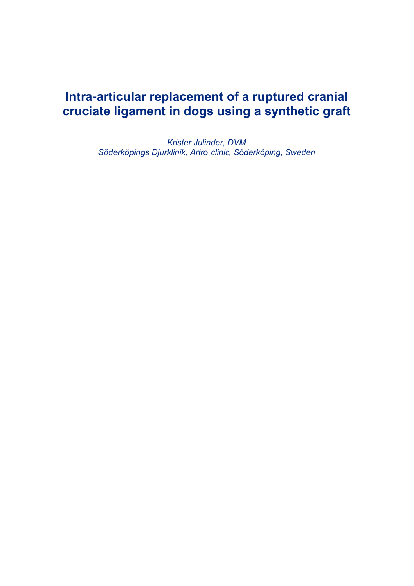# **Intra-articular replacement of a ruptured cranial cruciate ligament in dogs using a synthetic graft**

*Krister Julinder, DVM Söderköpings Djurklinik, Artro clinic, Söderköping, Sweden*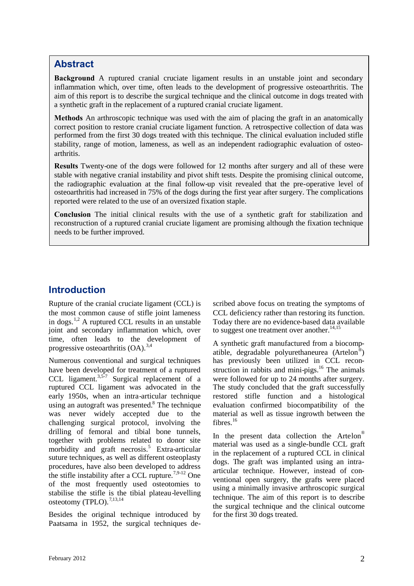# **Abstract**

**Background** A ruptured cranial cruciate ligament results in an unstable joint and secondary inflammation which, over time, often leads to the development of progressive osteoarthritis. The aim of this report is to describe the surgical technique and the clinical outcome in dogs treated with a synthetic graft in the replacement of a ruptured cranial cruciate ligament.

**Methods** An arthroscopic technique was used with the aim of placing the graft in an anatomically correct position to restore cranial cruciate ligament function. A retrospective collection of data was performed from the first 30 dogs treated with this technique. The clinical evaluation included stifle stability, range of motion, lameness, as well as an independent radiographic evaluation of osteoarthritis.

**Results** Twenty-one of the dogs were followed for 12 months after surgery and all of these were stable with negative cranial instability and pivot shift tests. Despite the promising clinical outcome, the radiographic evaluation at the final follow-up visit revealed that the pre-operative level of osteoarthritis had increased in 75% of the dogs during the first year after surgery. The complications reported were related to the use of an oversized fixation staple.

**Conclusion** The initial clinical results with the use of a synthetic graft for stabilization and reconstruction of a ruptured cranial cruciate ligament are promising although the fixation technique needs to be further improved.

# **Introduction**

Rupture of the cranial cruciate ligament (CCL) is the most common cause of stifle joint lameness in dogs.<sup>1,2</sup> A ruptured CCL results in an unstable joint and secondary inflammation which, over time, often leads to the development of progressive osteoarthritis  $(OA)$ .<sup>3,4</sup>

Numerous conventional and surgical techniques have been developed for treatment of a ruptured CCL ligament.<sup>3,5-7</sup> Surgical replacement of a  $\mu$ ruptured CCL ligament was advocated in the early 1950s, when an intra-articular technique using an autograft was presented. $8$  The technique was never widely accepted due to the challenging surgical protocol, involving the drilling of femoral and tibial bone tunnels, together with problems related to donor site morbidity and graft necrosis.<sup>5</sup> Extra-articular suture techniques, as well as different osteoplasty procedures, have also been developed to address the stifle instability after a CCL rupture.<sup>7,9-12</sup> One of the most frequently used osteotomies to stabilise the stifle is the tibial plateau-levelling osteotomy (TPLO).<sup>7,13,14</sup>

Besides the original technique introduced by Paatsama in 1952, the surgical techniques described above focus on treating the symptoms of CCL deficiency rather than restoring its function. Today there are no evidence-based data available to suggest one treatment over another. $14,15$ 

A synthetic graft manufactured from a biocompatible, degradable polyurethaneurea (Artelon®) has previously been utilized in CCL reconstruction in rabbits and mini-pigs. $16$  The animals were followed for up to 24 months after surgery. The study concluded that the graft successfully restored stifle function and a histological evaluation confirmed biocompatibility of the material as well as tissue ingrowth between the fibres. $16$ 

In the present data collection the Artelon<sup>®</sup> material was used as a single-bundle CCL graft in the replacement of a ruptured CCL in clinical dogs. The graft was implanted using an intraarticular technique. However, instead of conventional open surgery, the grafts were placed using a minimally invasive arthroscopic surgical technique. The aim of this report is to describe the surgical technique and the clinical outcome for the first 30 dogs treated.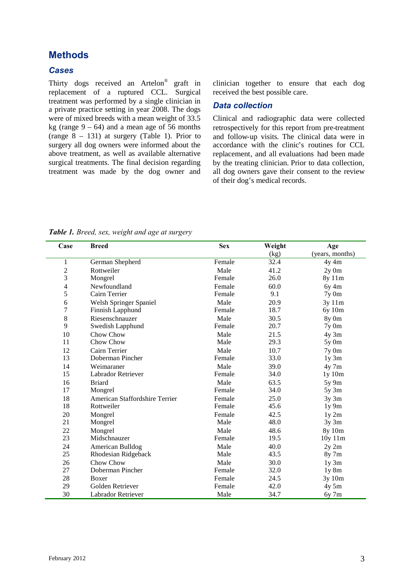# **Methods**

#### *Cases*

Thirty dogs received an Artelon<sup>®</sup> graft in replacement of a ruptured CCL. Surgical treatment was performed by a single clinician in a private practice setting in year 2008. The dogs were of mixed breeds with a mean weight of 33.5 kg (range  $9 - 64$ ) and a mean age of 56 months (range  $8 - 131$ ) at surgery (Table 1). Prior to surgery all dog owners were informed about the above treatment, as well as available alternative surgical treatments. The final decision regarding treatment was made by the dog owner and

clinician together to ensure that each dog received the best possible care.

#### *Data collection*

Clinical and radiographic data were collected retrospectively for this report from pre-treatment and follow-up visits. The clinical data were in accordance with the clinic's routines for CCL replacement, and all evaluations had been made by the treating clinician. Prior to data collection, all dog owners gave their consent to the review of their dog's medical records.

*Table 1. Breed, sex, weight and age at surgery*

| Case                    | <b>Breed</b>                   | <b>Sex</b> | Weight | Age              |
|-------------------------|--------------------------------|------------|--------|------------------|
|                         |                                |            | (kg)   | (years, months)  |
| 1                       | German Shepherd                | Female     | 32.4   | 4y 4m            |
| $\overline{c}$          | Rottweiler                     | Male       | 41.2   | $2y \space 0m$   |
| $\overline{\mathbf{3}}$ | Mongrel                        | Female     | 26.0   | 8y 11m           |
| 4                       | Newfoundland                   | Female     | 60.0   | $6y$ 4m          |
| 5                       | Cairn Terrier                  | Female     | 9.1    | $7y \text{ } 0m$ |
| 6                       | Welsh Springer Spaniel         | Male       | 20.9   | 3y 11m           |
| $\overline{7}$          | Finnish Lapphund               | Female     | 18.7   | 6y 10m           |
| $\,8\,$                 | Riesenschnauzer                | Male       | 30.5   | 8y 0m            |
| 9                       | Swedish Lapphund               | Female     | 20.7   | $7y \space 0m$   |
| 10                      | Chow Chow                      | Male       | 21.5   | $4y \, 3m$       |
| 11                      | Chow Chow                      | Male       | 29.3   | $5y \space 0m$   |
| 12                      | Cairn Terrier                  | Male       | 10.7   | $7y \space 0m$   |
| 13                      | Doberman Pincher               | Female     | 33.0   | $1y \, 3m$       |
| 14                      | Weimaraner                     | Male       | 39.0   | $4y$ 7m          |
| 15                      | <b>Labrador Retriever</b>      | Female     | 34.0   | 1y10m            |
| 16                      | <b>Briard</b>                  | Male       | 63.5   | $5y$ 9m          |
| 17                      | Mongrel                        | Female     | 34.0   | $5y \, 3m$       |
| 18                      | American Staffordshire Terrier | Female     | 25.0   | $3y \, 3m$       |
| 18                      | Rottweiler                     | Female     | 45.6   | 1y9m             |
| 20                      | Mongrel                        | Female     | 42.5   | 1y2m             |
| 21                      | Mongrel                        | Male       | 48.0   | $3y \, 3m$       |
| 22                      | Mongrel                        | Male       | 48.6   | 8y 10m           |
| 23                      | Midschnauzer                   | Female     | 19.5   | 10y 11m          |
| 24                      | American Bulldog               | Male       | 40.0   | 2y 2m            |
| 25                      | Rhodesian Ridgeback            | Male       | 43.5   | $8y$ 7m          |
| 26                      | Chow Chow                      | Male       | 30.0   | $1y \, 3m$       |
| 27                      | Doberman Pincher               | Female     | 32.0   | $1y \, 8m$       |
| 28                      | <b>Boxer</b>                   | Female     | 24.5   | 3y 10m           |
| 29                      | Golden Retriever               | Female     | 42.0   | 4y 5m            |
| 30                      | <b>Labrador Retriever</b>      | Male       | 34.7   | $6y$ 7m          |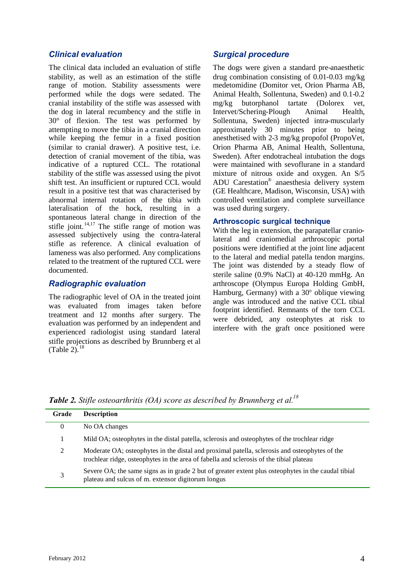#### *Clinical evaluation*

The clinical data included an evaluation of stifle stability, as well as an estimation of the stifle range of motion. Stability assessments were performed while the dogs were sedated. The cranial instability of the stifle was assessed with the dog in lateral recumbency and the stifle in 30° of flexion. The test was performed by attempting to move the tibia in a cranial direction while keeping the femur in a fixed position (similar to cranial drawer). A positive test, i.e. detection of cranial movement of the tibia, was indicative of a ruptured CCL. The rotational stability of the stifle was assessed using the pivot shift test. An insufficient or ruptured CCL would result in a positive test that was characterised by abnormal internal rotation of the tibia with lateralisation of the hock, resulting in a spontaneous lateral change in direction of the stifle joint.<sup>14,17</sup> The stifle range of motion was assessed subjectively using the contra-lateral stifle as reference. A clinical evaluation of lameness was also performed. Any complications related to the treatment of the ruptured CCL were documented.

### *Radiographic evaluation*

The radiographic level of OA in the treated joint was evaluated from images taken before treatment and 12 months after surgery. The evaluation was performed by an independent and experienced radiologist using standard lateral stifle projections as described by Brunnberg et al (Table 2). $1$ 

## *Surgical procedure*

The dogs were given a standard pre-anaesthetic drug combination consisting of 0.01-0.03 mg/kg medetomidine (Domitor vet, Orion Pharma AB, Animal Health, Sollentuna, Sweden) and 0.1-0.2 mg/kg butorphanol tartate (Dolorex vet, Intervet/Schering-Plough Animal Health, Sollentuna, Sweden) injected intra-muscularly approximately 30 minutes prior to being anesthetised with 2-3 mg/kg propofol (PropoVet, Orion Pharma AB, Animal Health, Sollentuna, Sweden). After endotracheal intubation the dogs were maintained with sevoflurane in a standard mixture of nitrous oxide and oxygen. An S/5 ADU Carestation® anaesthesia delivery system (GE Healthcare, Madison, Wisconsin, USA) with controlled ventilation and complete surveillance was used during surgery.

#### **Arthroscopic surgical technique**

With the leg in extension, the parapatellar craniolateral and craniomedial arthroscopic portal positions were identified at the joint line adjacent to the lateral and medial patella tendon margins. The joint was distended by a steady flow of sterile saline (0.9% NaCl) at 40-120 mmHg. An arthroscope (Olympus Europa Holding GmbH, Hamburg, Germany) with a  $30^{\circ}$  oblique viewing angle was introduced and the native CCL tibial footprint identified. Remnants of the torn CCL were debrided, any osteophytes at risk to interfere with the graft once positioned were

*Table 2. Stifle osteoarthritis (OA) score as described by Brunnberg et al.<sup>18</sup>*

| Grade    | <b>Description</b>                                                                                                                                                                       |
|----------|------------------------------------------------------------------------------------------------------------------------------------------------------------------------------------------|
| $\theta$ | No OA changes                                                                                                                                                                            |
|          | Mild OA; osteophytes in the distal patella, sclerosis and osteophytes of the trochlear ridge                                                                                             |
| 2        | Moderate OA; osteophytes in the distal and proximal patella, sclerosis and osteophytes of the<br>trochlear ridge, osteophytes in the area of fabella and sclerosis of the tibial plateau |
| 3        | Severe OA; the same signs as in grade 2 but of greater extent plus osteophytes in the caudal tibial<br>plateau and sulcus of m. extensor digitorum longus                                |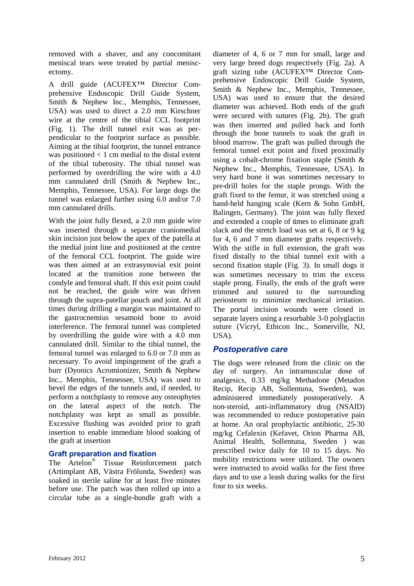removed with a shaver, and any concomitant meniscal tears were treated by partial meniscectomy.

A drill guide (ACUFEX™ Director Comprehensive Endoscopic Drill Guide System, Smith & Nephew Inc., Memphis, Tennessee, USA) was used to direct a 2.0 mm Kirschner wire at the centre of the tibial CCL footprint (Fig. 1). The drill tunnel exit was as perpendicular to the footprint surface as possible. Aiming at the tibial footprint, the tunnel entrance was positioned  $< 1$  cm medial to the distal extent of the tibial tuberosity. The tibial tunnel was performed by overdrilling the wire with a 4.0 mm cannulated drill (Smith & Nephew Inc., Memphis, Tennessee, USA). For large dogs the tunnel was enlarged further using 6.0 and/or 7.0 mm cannulated drills.

With the joint fully flexed, a 2.0 mm guide wire was inserted through a separate craniomedial skin incision just below the apex of the patella at the medial joint line and positioned at the centre of the femoral CCL footprint. The guide wire was then aimed at an extrasynovial exit point located at the transition zone between the condyle and femoral shaft. If this exit point could not be reached, the guide wire was driven through the supra-patellar pouch and joint. At all times during drilling a margin was maintained to the gastrocnemius sesamoid bone to avoid interference. The femoral tunnel was completed by overdrilling the guide wire with a 4.0 mm cannulated drill. Similar to the tibial tunnel, the femoral tunnel was enlarged to 6.0 or 7.0 mm as necessary. To avoid impingement of the graft a burr (Dyonics Acromionizer, Smith & Nephew Inc., Memphis, Tennessee, USA) was used to bevel the edges of the tunnels and, if needed, to perform a notchplasty to remove any osteophytes on the lateral aspect of the notch. The notchplasty was kept as small as possible. Excessive flushing was avoided prior to graft insertion to enable immediate blood soaking of the graft at insertion

#### **Graft preparation and fixation**

The Artelon® Tissue Reinforcement patch (Artimplant AB, Västra Frölunda, Sweden) was soaked in sterile saline for at least five minutes before use. The patch was then rolled up into a circular tube as a single-bundle graft with a

diameter of 4, 6 or 7 mm for small, large and very large breed dogs respectively (Fig. 2a). A graft sizing tube (ACUFEX™ Director Comprehensive Endoscopic Drill Guide System, Smith & Nephew Inc., Memphis, Tennessee, USA) was used to ensure that the desired diameter was achieved. Both ends of the graft were secured with sutures (Fig. 2b). The graft was then inserted and pulled back and forth through the bone tunnels to soak the graft in blood marrow. The graft was pulled through the femoral tunnel exit point and fixed proximally using a cobalt-chrome fixation staple (Smith & Nephew Inc., Memphis, Tennessee, USA). In very hard bone it was sometimes necessary to pre-drill holes for the staple prongs. With the graft fixed to the femur, it was stretched using a hand-held hanging scale (Kern & Sohn GmbH, Balingen, Germany). The joint was fully flexed and extended a couple of times to eliminate graft slack and the stretch load was set at 6, 8 or 9 kg for 4, 6 and 7 mm diameter grafts respectively. With the stifle in full extension, the graft was fixed distally to the tibial tunnel exit with a second fixation staple (Fig. 3). In small dogs it was sometimes necessary to trim the excess staple prong. Finally, the ends of the graft were trimmed and sutured to the surrounding periosteum to minimize mechanical irritation. The portal incision wounds were closed in separate layers using a resorbable 3-0 polyglactin suture (Vicryl, Ethicon Inc., Somerville, NJ, USA).

## *Postoperative care*

The dogs were released from the clinic on the day of surgery. An intramuscular dose of analgesics, 0.33 mg/kg Methadone (Metadon Recip, Recip AB, Sollentuna, Sweden), was administered immediately postoperatively. A non-steroid, anti-inflammatory drug (NSAID) was recommended to reduce postoperative pain at home. An oral prophylactic antibiotic, 25-30 mg/kg Cefalexin (Kefavet, Orion Pharma AB, Animal Health, Sollentuna, Sweden ) was prescribed twice daily for 10 to 15 days. No mobility restrictions were utilized. The owners were instructed to avoid walks for the first three days and to use a leash during walks for the first four to six weeks.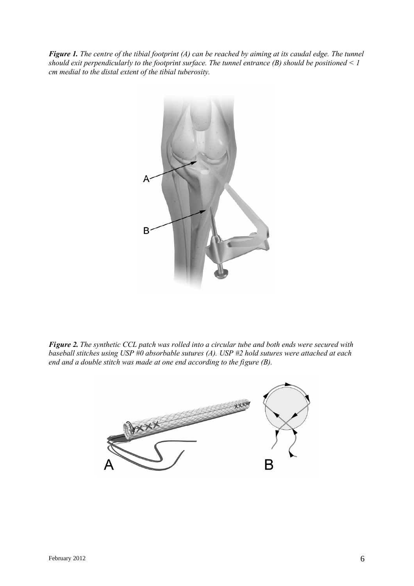*Figure 1. The centre of the tibial footprint (A) can be reached by aiming at its caudal edge. The tunnel should exit perpendicularly to the footprint surface. The tunnel entrance (B) should be positioned < 1 cm medial to the distal extent of the tibial tuberosity.*



*Figure 2. The synthetic CCL patch was rolled into a circular tube and both ends were secured with baseball stitches using USP #0 absorbable sutures (A). USP #2 hold sutures were attached at each end and a double stitch was made at one end according to the figure (B).*

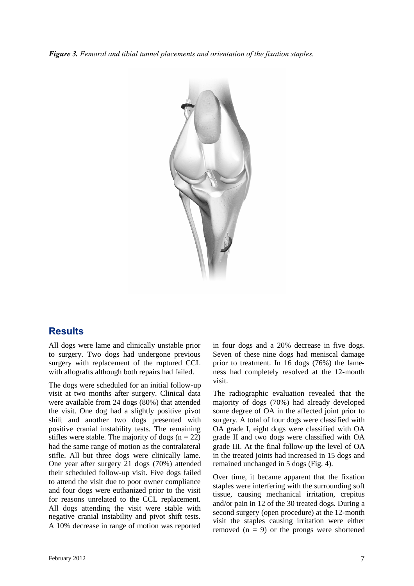*Figure 3. Femoral and tibial tunnel placements and orientation of the fixation staples.*



# **Results**

All dogs were lame and clinically unstable prior to surgery. Two dogs had undergone previous surgery with replacement of the ruptured CCL with allografts although both repairs had failed.

The dogs were scheduled for an initial follow-up visit at two months after surgery. Clinical data were available from 24 dogs (80%) that attended the visit. One dog had a slightly positive pivot shift and another two dogs presented with positive cranial instability tests. The remaining stifles were stable. The majority of dogs  $(n = 22)$ had the same range of motion as the contralateral stifle. All but three dogs were clinically lame. One year after surgery 21 dogs (70%) attended their scheduled follow-up visit. Five dogs failed to attend the visit due to poor owner compliance and four dogs were euthanized prior to the visit for reasons unrelated to the CCL replacement. All dogs attending the visit were stable with negative cranial instability and pivot shift tests. A 10% decrease in range of motion was reported

in four dogs and a 20% decrease in five dogs. Seven of these nine dogs had meniscal damage prior to treatment. In 16 dogs (76%) the lameness had completely resolved at the 12-month visit.

The radiographic evaluation revealed that the majority of dogs (70%) had already developed some degree of OA in the affected joint prior to surgery. A total of four dogs were classified with OA grade I, eight dogs were classified with OA grade II and two dogs were classified with OA grade III. At the final follow-up the level of OA in the treated joints had increased in 15 dogs and remained unchanged in 5 dogs (Fig. 4).

Over time, it became apparent that the fixation staples were interfering with the surrounding soft tissue, causing mechanical irritation, crepitus and/or pain in 12 of the 30 treated dogs. During a second surgery (open procedure) at the 12-month visit the staples causing irritation were either removed  $(n = 9)$  or the prongs were shortened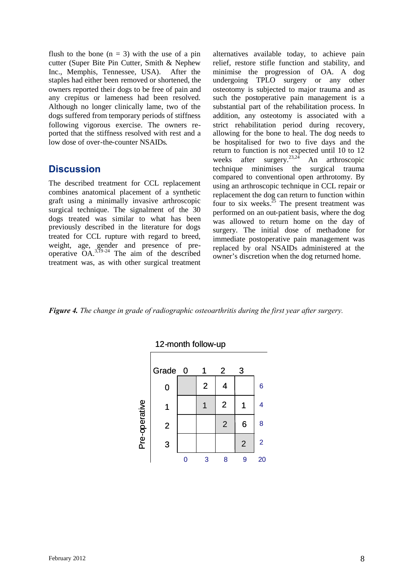flush to the bone  $(n = 3)$  with the use of a pin cutter (Super Bite Pin Cutter, Smith & Nephew Inc., Memphis, Tennessee, USA). After the staples had either been removed or shortened, the owners reported their dogs to be free of pain and any crepitus or lameness had been resolved. Although no longer clinically lame, two of the dogs suffered from temporary periods of stiffness following vigorous exercise. The owners reported that the stiffness resolved with rest and a low dose of over-the-counter NSAIDs.

## **Discussion**

The described treatment for CCL replacement combines anatomical placement of a synthetic graft using a minimally invasive arthroscopic surgical technique. The signalment of the 30 dogs treated was similar to what has been previously described in the literature for dogs treated for CCL rupture with regard to breed, weight, age, gender and presence of preoperative  $OA^{3,19-24}$  The aim of the described treatment was, as with other surgical treatment

alternatives available today, to achieve pain relief, restore stifle function and stability, and minimise the progression of OA. A dog undergoing TPLO surgery or any other osteotomy is subjected to major trauma and as such the postoperative pain management is a substantial part of the rehabilitation process. In addition, any osteotomy is associated with a strict rehabilitation period during recovery, allowing for the bone to heal. The dog needs to be hospitalised for two to five days and the return to function is not expected until 10 to 12 weeks after surgery.<sup>23,24</sup> An arthroscopic technique minimises the surgical trauma compared to conventional open arthrotomy. By using an arthroscopic technique in CCL repair or replacement the dog can return to function within four to six weeks.<sup>25</sup> The present treatment was performed on an out-patient basis, where the dog was allowed to return home on the day of surgery. The initial dose of methadone for immediate postoperative pain management was replaced by oral NSAIDs administered at the owner's discretion when the dog returned home.

*Figure 4. The change in grade of radiographic osteoarthritis during the first year after surgery.*

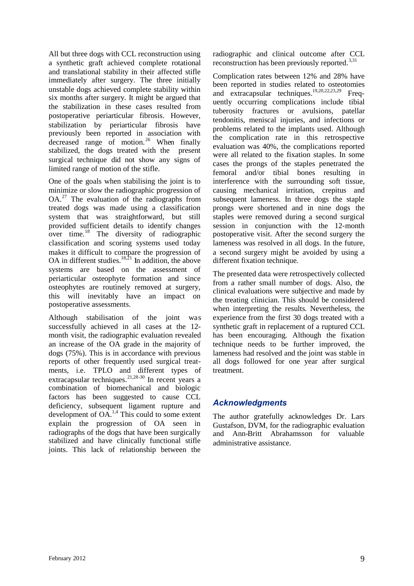All but three dogs with CCL reconstruction using a synthetic graft achieved complete rotational and translational stability in their affected stifle immediately after surgery. The three initially unstable dogs achieved complete stability within six months after surgery. It might be argued that the stabilization in these cases resulted from postoperative periarticular fibrosis. However, stabilization by periarticular fibrosis have previously been reported in association with decreased range of motion.<sup>26</sup> When finally stabilized, the dogs treated with the present surgical technique did not show any signs of limited range of motion of the stifle.

One of the goals when stabilising the joint is to minimize or slow the radiographic progression of  $OA<sup>27</sup>$ . The evaluation of the radiographs from treated dogs was made using a classification system that was straightforward, but still provided sufficient details to identify changes over time.<sup>18</sup> The diversity of radiographic classification and scoring systems used today makes it difficult to compare the progression of OA in different studies.<sup>18,21</sup> In addition, the above systems are based on the assessment of periarticular osteophyte formation and since osteophytes are routinely removed at surgery, this will inevitably have an impact on postoperative assessments.

Although stabilisation of the joint was successfully achieved in all cases at the 12 month visit, the radiographic evaluation revealed an increase of the OA grade in the majority of dogs (75%). This is in accordance with previous reports of other frequently used surgical treatments, i.e. TPLO and different types of extracapsular techniques.<sup>21,28-30</sup> In recent years a combination of biomechanical and biologic factors has been suggested to cause CCL deficiency, subsequent ligament rupture and development of  $OA<sup>1,4</sup>$ . This could to some extent explain the progression of OA seen in radiographs of the dogs that have been surgically stabilized and have clinically functional stifle joints. This lack of relationship between the

radiographic and clinical outcome after CCL reconstruction has been previously reported. $3,31$ 

Complication rates between 12% and 28% have been reported in studies related to osteotomies and extracapsular techniques.<sup>19,20,22,23,29</sup> Frequently occurring complications include tibial tuberosity fractures or avulsions, patellar tendonitis, meniscal injuries, and infections or problems related to the implants used. Although the complication rate in this retrospective evaluation was 40%, the complications reported were all related to the fixation staples. In some cases the prongs of the staples penetrated the femoral and/or tibial bones resulting in interference with the surrounding soft tissue, causing mechanical irritation, crepitus and subsequent lameness. In three dogs the staple prongs were shortened and in nine dogs the staples were removed during a second surgical session in conjunction with the 12-month postoperative visit. After the second surgery the lameness was resolved in all dogs. In the future, a second surgery might be avoided by using a different fixation technique.

The presented data were retrospectively collected from a rather small number of dogs. Also, the clinical evaluations were subjective and made by the treating clinician. This should be considered when interpreting the results. Nevertheless, the experience from the first 30 dogs treated with a synthetic graft in replacement of a ruptured CCL has been encouraging. Although the fixation technique needs to be further improved, the lameness had resolved and the joint was stable in all dogs followed for one year after surgical treatment.

## *Acknowledgments*

The author gratefully acknowledges Dr. Lars Gustafson, DVM, for the radiographic evaluation and Ann-Britt Abrahamsson for valuable administrative assistance.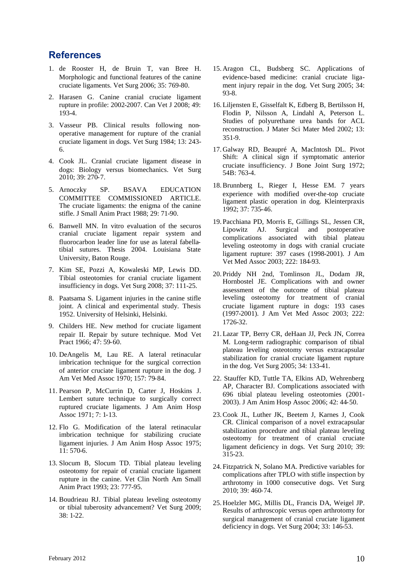# **References**

- 1. de Rooster H, de Bruin T, van Bree H. Morphologic and functional features of the canine cruciate ligaments. Vet Surg 2006; 35: 769-80.
- 2. Harasen G. Canine cranial cruciate ligament rupture in profile: 2002-2007. Can Vet J 2008; 49: 193-4.
- 3. Vasseur PB. Clinical results following nonoperative management for rupture of the cranial cruciate ligament in dogs. Vet Surg 1984; 13: 243- 6.
- 4. Cook JL. Cranial cruciate ligament disease in dogs: Biology versus biomechanics. Vet Surg 2010; 39: 270-7.
- 5. Arnoczky SP. BSAVA EDUCATION COMMITTEE COMMISSIONED ARTICLE. The cruciate ligaments: the enigma of the canine stifle. J Small Anim Pract 1988; 29: 71-90.
- 6. Banwell MN. In vitro evaluation of the securos cranial cruciate ligament repair system and fluorocarbon leader line for use as lateral fabellatibial sutures. Thesis 2004. Louisiana State University, Baton Rouge.
- 7. Kim SE, Pozzi A, Kowaleski MP, Lewis DD. Tibial osteotomies for cranial cruciate ligament insufficiency in dogs. Vet Surg 2008; 37: 111-25.
- 8. Paatsama S. Ligament injuries in the canine stifle joint. A clinical and experimental study. Thesis 1952. University of Helsinki, Helsinki.
- 9. Childers HE. New method for cruciate ligament repair II. Repair by suture technique. Mod Vet Pract 1966; 47: 59-60.
- 10. DeAngelis M, Lau RE. A lateral retinacular imbrication technique for the surgical correction of anterior cruciate ligament rupture in the dog. J Am Vet Med Assoc 1970; 157: 79-84.
- 11. Pearson P, McCurrin D, Carter J, Hoskins J. Lembert suture technique to surgically correct ruptured cruciate ligaments. J Am Anim Hosp Assoc 1971; 7: 1-13.
- 12. Flo G. Modification of the lateral retinacular imbrication technique for stabilizing cruciate ligament injuries. J Am Anim Hosp Assoc 1975; 11: 570-6.
- 13. Slocum B, Slocum TD. Tibial plateau leveling osteotomy for repair of cranial cruciate ligament rupture in the canine. Vet Clin North Am Small Anim Pract 1993; 23: 777-95.
- 14. Boudrieau RJ. Tibial plateau leveling osteotomy or tibial tuberosity advancement? Vet Surg 2009; 38: 1-22.
- 15.Aragon CL, Budsberg SC. Applications of evidence-based medicine: cranial cruciate ligament injury repair in the dog. Vet Surg 2005; 34: 93-8.
- 16.Liljensten E, Gisselfalt K, Edberg B, Bertilsson H, Flodin P, Nilsson A, Lindahl A, Peterson L. Studies of polyurethane urea bands for ACL reconstruction. J Mater Sci Mater Med 2002; 13: 351-9.
- 17.Galway RD, Beaupré A, MacIntosh DL. Pivot Shift: A clinical sign if symptomatic anterior cruciate insufficiency. J Bone Joint Surg 1972; 54B: 763-4.
- 18.Brunnberg L, Rieger I, Hesse EM. 7 years experience with modified over-the-top cruciate ligament plastic operation in dog. Kleinterpraxis 1992; 37: 735-46.
- 19. Pacchiana PD, Morris E, Gillings SL, Jessen CR, Lipowitz AJ. Surgical and postoperative complications associated with tibial plateau leveling osteotomy in dogs with cranial cruciate ligament rupture: 397 cases (1998-2001). J Am Vet Med Assoc 2003; 222: 184-93.
- 20. Priddy NH 2nd, Tomlinson JL, Dodam JR, Hornbostel JE. Complications with and owner assessment of the outcome of tibial plateau leveling osteotomy for treatment of cranial cruciate ligament rupture in dogs: 193 cases (1997-2001). J Am Vet Med Assoc 2003; 222: 1726-32.
- 21.Lazar TP, Berry CR, deHaan JJ, Peck JN, Correa M. Long-term radiographic comparison of tibial plateau leveling osteotomy versus extracapsular stabilization for cranial cruciate ligament rupture in the dog. Vet Surg 2005; 34: 133-41.
- 22. Stauffer KD, Tuttle TA, Elkins AD, Wehrenberg AP, Character BJ. Complications associated with 696 tibial plateau leveling osteotomies (2001- 2003). J Am Anim Hosp Assoc 2006; 42: 44-50.
- 23.Cook JL, Luther JK, Beetem J, Karnes J, Cook CR. Clinical comparison of a novel extracapsular stabilization procedure and tibial plateau leveling osteotomy for treatment of cranial cruciate ligament deficiency in dogs. Vet Surg 2010; 39: 315-23.
- 24. Fitzpatrick N, Solano MA. Predictive variables for complications after TPLO with stifle inspection by arthrotomy in 1000 consecutive dogs. Vet Surg 2010; 39: 460-74.
- 25.Hoelzler MG, Millis DL, Francis DA, Weigel JP. Results of arthroscopic versus open arthrotomy for surgical management of cranial cruciate ligament deficiency in dogs. Vet Surg 2004; 33: 146-53.